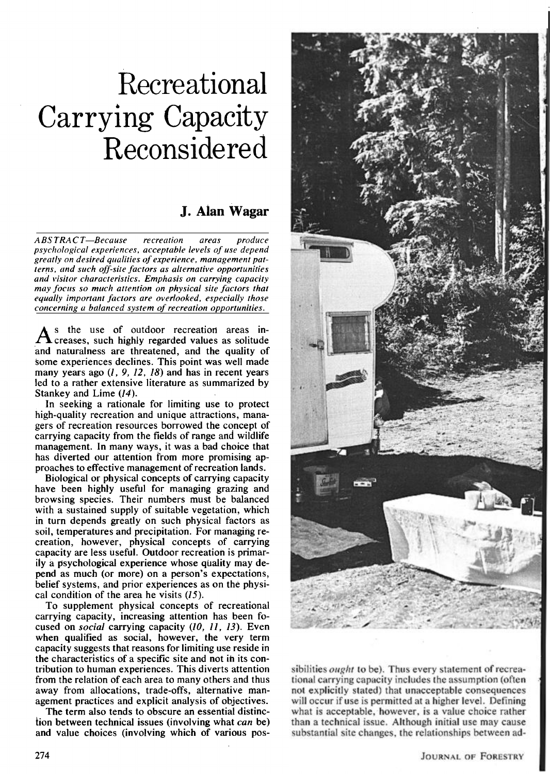# **Recreational Carrying Capacity Reconsidered**

# **J. Alan Wagar**

**ABSTRACT-Because recreation areas produce** psychological experiences, acceptable levels of use depend greatly on desired qualities of experience, management patterns, and such off-site factors as alternative opportunities and visitor characteristics. Emphasis on carrying capacity may focus so much attention on physical site factors that equally important factors are overlooked, especially those concerning a balanced system of recreation opportunities.

**s** the use of outdoor recreation areas increases, such highly regarded values as solitude **and naturalness are threatened, and the quality of some experiences declines. This point was well made many years ago (1, 9, 12, 18) and has in recent years led to a rather extensive literature as summarized by Stankey and Lime (14).** 

**In seeking a rationale for limiting use to protect high-quality recreation and unique attractions, managers of recreation resources borrowed the concept of carrying capacity from the fields of range and wildlife management. In many ways, it was a bad choice that has diverted our attention from more promising approaches to effective management of recreation lands.** 

**Biological or physical concepts of carrying capacity have been highly useful for managing grazing and browsing species. Their numbers must be balanced with a sustained supply of suitable vegetation, which in turn depends greatly on such physical factors as soil, temperatures and precipitation. For managing recreation, however, physical concepts of carrying capacity are less useful. Outdoor recreation is primarily a psychological experience whose quality may depend as much (or more) on a person's expectations, belief systems. and prior experiences as on the physical condition of the area he visits (15).** 

**To supplement physical concepts of recreational carrying capacity, increasing attention has been focused on social carrying capacity (10, 11, 13). Even when qualified as social, however, the very term capacity suggests that reasons for limiting use reside in the characteristics of a specific site and not in its contribution to human experiences. This diverts attention from the relation of each area to many others and thus away from allocations, trade-offs, alternative management practices and explicit analysis of objectives.** 

**The term also tends to obscure an essential distinction between technical issues (involving what can be) and value choices (involving which of various pos-**



**sibilities ought to be). Thus every statement of recreational carrying capacity includes the assumption (often not explicitly stated) that unacceptable consequences will occur if use is permitted at a higher level. Defining what is acceptable, however, is a value choice rather than a technical issue. Although initial use may cause substantial site changes, the relationships between ad-**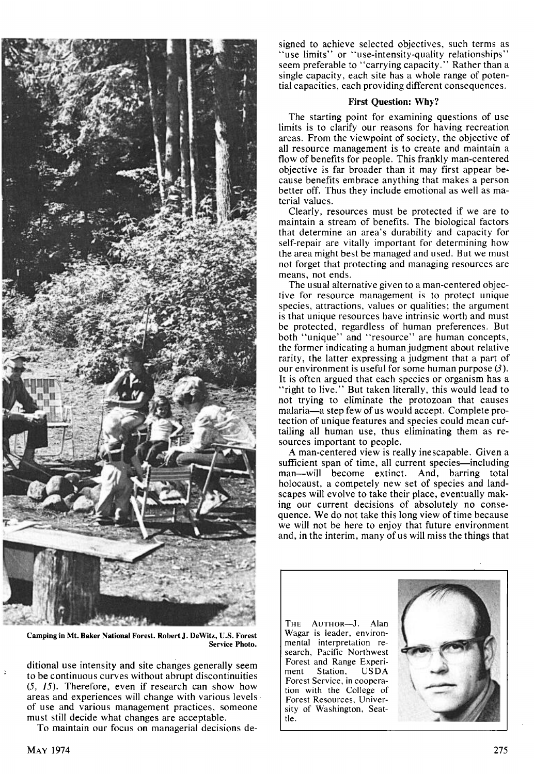

Camping in Mt. Baker National Forest. Robert J. DeWitz, U.S. Forest Service Photo

**ditional use intensity and site changes generally seem to be continuous curves without abrupt discontinuities (5. 15). Therefore, even if research can show how areas and experiences will change with various levels of use and various management practices, someone must still decide what changes are acceptable.** 

**To maintain our focus on managerial decisions de-**

**signed to achieve selected objectives. such terms as "use limits" or "use-intensity-quality relationships" seem preferable to "carrying capacity." Rather than a single capacity, each site has a whole range of potential capacities, each providing different consequences.** 

## **First Question: Why?**

**The starting point for examining questions of use limits is to clarify our reasons for having recreation areas. From the viewpoint of society, the objective of all resource management is to create and maintain a flow of benefits for people. This frankly man-centered objective is far broader than it may first appear because benefits embrace anything that makes a person better off. Thus they include emotional as well as material values.** 

**Clearly, resources must be protected if we are to maintain a stream of benefits. The biological factors that determine an area's durability and capacity for self-repair are vitally important for determining how the area might best be managed and used. But we must not forget that protecting and managing resources are means, not ends.** 

**The usual alternative given to a man-centered objective for resource management is to protect unique species, attractions, values or qualities; the argument is that unique resources have intrinsic worth and must be protected, regardless of human preferences. But both "unique" and "resource" are human concepts, the former indicating a human judgment about relative rarity, the latter expressing a judgment that a part of our environment is useful for some human purpose (3). It is often argued that each species or organism has a "right to live." But taken literally, this would lead to not trying to eliminate the protozoan that causes**  malaria—a step few of us would accept. Complete pro**tection of unique features and species could mean curtailing all human use, thus eliminating them as resources important to people.** 

**A man-centered view is really inescapable. Given a**  sufficient span of time, all current species—including **man--will become extinct. And, barring total holocaust, a competely new set of species and landscapes will evolve to take their place, eventually making our current decisions of absolutely no consequence. We do not take this long view of time because we will not be here to enjoy that future environment and, in the interim, many of us will miss the things that** 

THE AUTHOR-J. Alan **Wagar is leader, environmental interpretation research, Pacific Northwest Forest and Range Experi-Station, Forest Service, in cooperation with the College of Forest Resources, University of Washington, Seattle.** 



è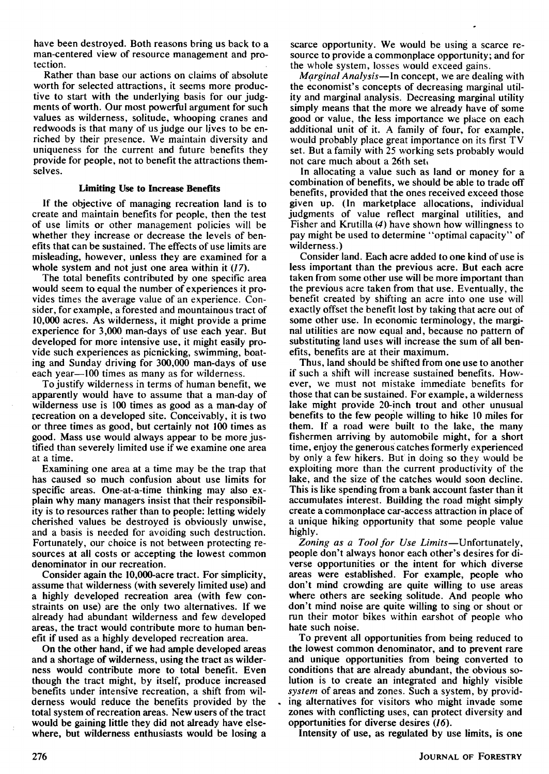**have been destroyed. Both reasons bring us back to a man-centered view of resource management and protection.** 

**Rather than base our actions on claims of absolute worth for selected attractions, it seems more productive to start with the underlying basis for our judgments of worth. Our most powerful argument for such values as wilderness, solitude, whooping cranes and redwoods is that many of us judge our lives to be enriched by their presence. We maintain diversity and uniqueness for the current and future benefits they provide for people, not to benefit the attractions themselves.** 

#### **Limiting Use to Increase Benefits**

**If the objective of managing recreation land is to create and maintain benefits for people, then the test of use limits or other management policies will be whether they increase or decrease the levels of benefits that can be sustained. The effects of use limits are misleading, however, unless they are examined for a whole system and not just one area within it (17).** 

**The total benefits contributed by one specific area would seem to equal the number of experiences it provides times the average value of an experience. Consider, for example, a forested and mountainous tract of I0,000 acres. As wilderness. it might provide a prime experience for 3,000 man-days of use each year. But developed for more intensive use, it might easily provide such experiences as picnicking, swimming, boating and Sunday driving for 300,000 man-days of use each year--100 times as many as for wilderness.** 

**To justify wilderness in terms of human benefit, we apparently would have to assume that a man-day of wilderness use is 100 times as good as a man-day of recreation on a developed site. Conceivably, it is two or three times as good, but certainly not 100 times as good. Mass use would always appear to be more justified than severely limited use if we examine one area at a time.** 

**Examining one area at a time may be the trap that has caused so much confusion about use limits for specific areas. One-at-a-time thinking may also explain why many managers insist that their responsibility is to resources rather than to people: letting widely cherished values be destroyed is obviously unwise, and a basis is needed for avoiding such destruction. Fortunately, our choice is not between protecting resources at all costs or accepting the lowest common denominator in our recreation.** 

**Consider again the 10,000-acre tract. For simplicity, assume that wilderness (with severely limited use) and a highly developed recreation area (with few constraints on use) are the only two alternatives. If we already had abundant wilderness and few developed areas, the tract would contribute more to human benefit if used as a highly developed recreation area.** 

**On the other hand, if we had ample developed areas and a shortage of wilderness, using the tract as wilderness would contribute more to total benefit. Even though the tract might, by itself, produce increased**  benefits under intensive recreation, a shift from wil**derness would reduce the benefits provided by the total system of recreation areas. New users of the tract would be gaining little they did not already have elsewhere, but wilderness enthusiasts would be losing a** 

**scarce opportunity. We would be using a scarce resource to provide a commonplace opportunity; and for the whole system, losses would exceed gains.** 

**Marginal Analysis--In concept, we are dealing with the economist's concepts of decreasing marginal utility and marginal analysis. Decreasing marginal utility simply means that the more we already have of some good or value. the less importance we place on each additional unit of it. A family of four, for example, would probably place great importance on its first TV set. But a family with 25 working sets probably would not care much about a 26th set.** 

**In allocating a value such as land or money for a combination of benefits, we should be able to trade off benefits, provided that the ones received exceed those given up. (In marketplace allocations, individual judgments of value reflect marginal utilities, and Fisher and Krutilla (4) have shown how willingness to pay might be used to determine "optimal capacity" of wilderness.)** 

**Consider land. Each acre added to one kind of use is less important than the previous acre. But each acre taken from some other use will be more important than the previous acre taken from that use. Eventually, the benefit created by shifting an acre into one use will exactly offset the benefit lost by taking that acre out of some other use. In economic terminology, the marginal utilities are now equal and, because no pattern of substituting land uses will increase the sum of all benefits, benefits are at their maximum.** 

**Thus, land should be shifted from one use to another if such a shift will increase sustained benefits. However, we must not mistake immediate benefits for those that can be sustained. For example, a wilderness lake might provide 20-inch trout and other unusual benefits to the few people willing to hike 10 miles for them. If a road were built to the lake, the many fishermen arriving by automobile might, for a short time, enjoy the generous catches formerly experienced by only a few hikers. But in doing so they would be exploiting more than the current productivity of the lake, and the size of the catches would soon decline. This is like spending from a bank account taster than it accumulates interest. Building the road might simply create a commonplace car-access attraction in place of a unique hiking opportunity that some people value highly.** 

Zoning as a Tool for Use Limits-Unfortunately, **people don't always honor each other's desires for diverse opportunities or the intent for which diverse areas were established. For example, people who don't mind crowding are quite willing to use areas where others are seeking solitude. And people who don't mind noise are quite willing to sing or shout or run their motor bikes within earshot of people who hate such noise.** 

**To prevent all opportunities from being reduced to the lowest common denominator, and to prevent rare and unique opportunities from being converted to conditions that are already abundant, the obvious solution is to create an integrated and highly visible system of areas and zones. Such a system, by providing alternatives for visitors who might invade some zones with conflicting uses, can protect diversity and opportunities for diverse desires (16).** 

**Intensity of use, as regulated by use limits, is one**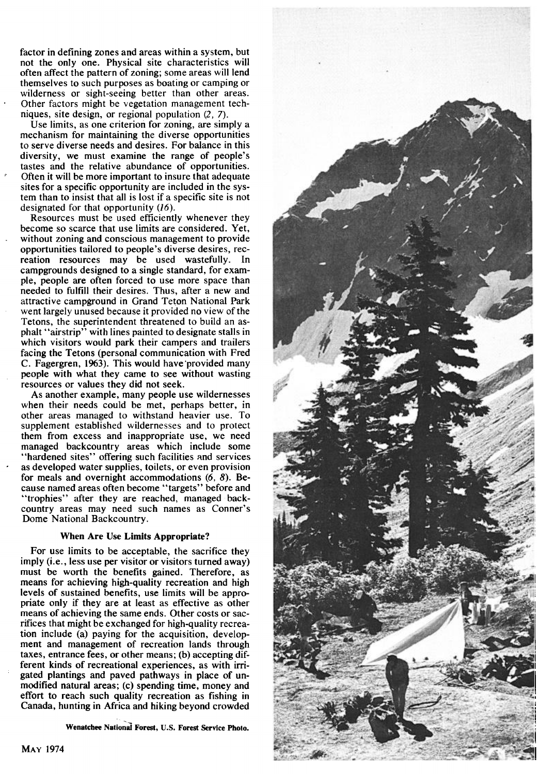**factor in defining zones and areas within a system, but not the only one. Physical site characteristics will often affect the pattern of zoning; some areas will lend themselves to such purposes as boating or camping or wilderness or sight-seeing better than other areas. Other factors might be vegetation management techniques, site design, or regional population (2, 7).** 

**Use limits, as one criterion for zoning, are simply a mechanism for maintaining the diverse opportunities to serve diverse needs and desires. For balance in this diversity, we must examine the range of people's tastes and the relative abundance of opportunities. Often it will be more important to insure that adequate sites for a specific opportunity are included in the system than to insist that all is lost if a specific site is nol designated for that opportunity (16).** 

**Resources must be used efficiently whenever they become so scarce that use limits are considered. Yet, without zoning and conscious management to provide opportunities tailored to people's diverse desires, recreation resources may be used wastefully. In campgrounds designed to a single standard, for example, people are often forced to use more space than needed to fulfill their desires. Thus, after a new and attractive campground in Grand Teton National Park went largely unused because it provided no view of the Tetons, the superintendent threatened to build an asphalt "airstrip" with lines painted to designate stalls in which visitors would park their campers and trailers facing the Tetons (personal communication with Fred C. Fagergren, 1963). This would have provided many people with what they came to see without wasting resources or values they did not seek.** 

**As another example, many people use wildernesses when their needs could be met, perhaps better, in other areas managed to withstand heavier use. To supplement established wildernesses and to protect them from excess and inappropriate use, we need managed backcountry areas which include some "hardened sites" offering such facilities and services as developed water supplies, toilets, or even provision for meals and overnight accommodations (6, 8). Because named areas often become "targets" before and "trophies" after they are reached, managed backcountry areas may need such names as Conner's Dome National Backcountry.** 

### **When Are Use Limits Appropriate?**

**For use limits to be acceptable, the sacrifice they imply (i.e., less use per visitor or visitors turned away) must be worth the benefits gained. Therefore, as means for achieving high-quality recreation and high levels of sustained benefits, use limits will be appropriate only if they are at least as effective as other means of achieving the same ends. Other costs or sacrffices that might be exchanged for high-quality recreation include (a) paying for the acquisition, development and management of recreation lands through taxes, entrance fees, or other means; (b) accepting different kinds of recreational experiences, as with irrigated plantings and paved pathways in place of unmodified natural areas; (c) spending time, money and effort to reach such quality recreation as fishing in Canada, hunting in Africa and hiking beyond crowded** 

Wenatchee National Forest, U.S. Forest Service Photo.